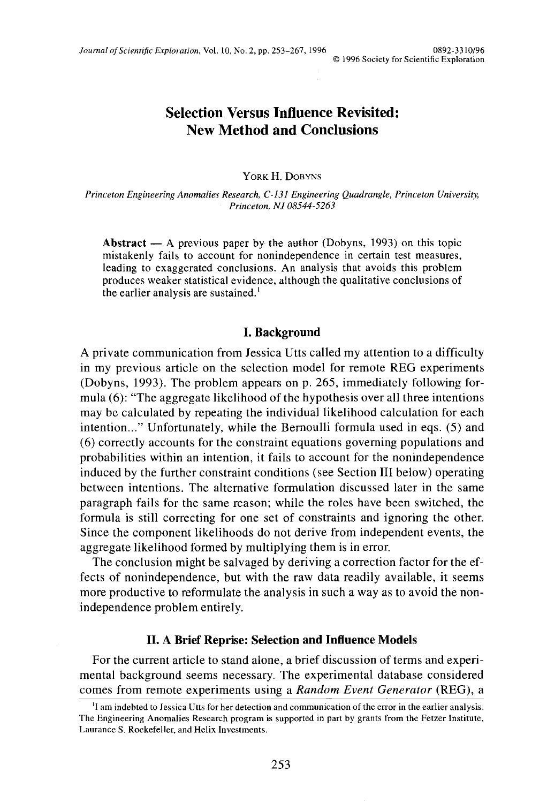# **Selection Versus Influence Revisited: New Method and Conclusions**

YORK H. DOBYNS

*Princeton Engineering Anomalies Research, C-131 Engineering Quadrangle, Princeton University, Princeton, NJ 08544-5263*

**Abstract** — A previous paper by the author (Dobyns, 1993) on this topic mistakenly fails to account for nonindependence in certain test measures, leading to exaggerated conclusions. An analysis that avoids this problem produces weaker statistical evidence, although the qualitative conclusions of the earlier analysis are sustained.<sup>1</sup>

#### **I. Background**

A private communication from Jessica Utts called my attention to a difficulty in my previous article on the selection model for remote REG experiments (Dobyns, 1993). The problem appears on p. 265, immediately following formula (6): "The aggregate likelihood of the hypothesis over all three intentions may be calculated by repeating the individual likelihood calculation for each intention..." Unfortunately, while the Bernoulli formula used in eqs. (5) and (6) correctly accounts for the constraint equations governing populations and probabilities within an intention, it fails to account for the nonindependence induced by the further constraint conditions (see Section III below) operating between intentions. The alternative formulation discussed later in the same paragraph fails for the same reason; while the roles have been switched, the formula is still correcting for one set of constraints and ignoring the other. Since the component likelihoods do not derive from independent events, the aggregate likelihood formed by multiplying them is in error.

The conclusion might be salvaged by deriving a correction factor for the effects of nonindependence, but with the raw data readily available, it seems more productive to reformulate the analysis in such a way as to avoid the nonindependence problem entirely.

## **II. A Brief Reprise: Selection and Influence Models**

For the current article to stand alone, a brief discussion of terms and experimental background seems necessary. The experimental database considered comes from remote experiments using a *Random Event Generator* (REG), a

<sup>&</sup>lt;sup>1</sup>I am indebted to Jessica Utts for her detection and communication of the error in the earlier analysis. The Engineering Anomalies Research program is supported in part by grants from the Fetzer Institute, Laurance S. Rockefeller, and Helix Investments.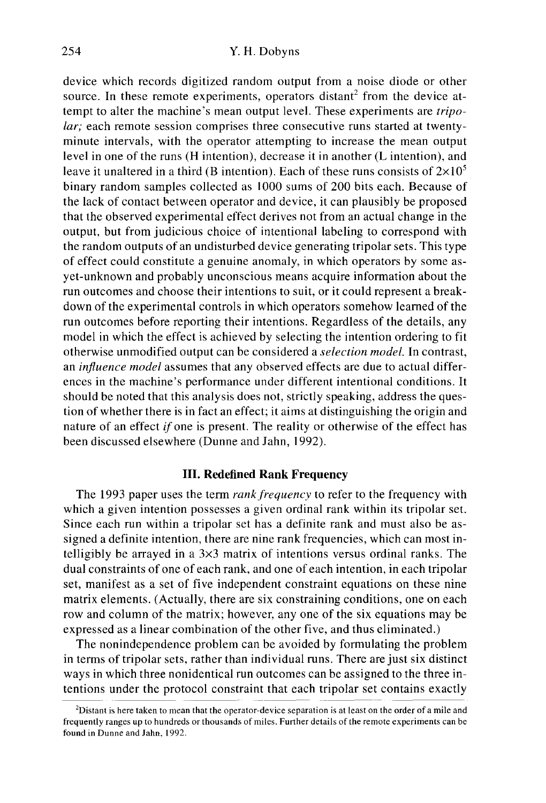#### 254 Y. H. Dobyns

device which records digitized random output from a noise diode or other source. In these remote experiments, operators distant<sup>2</sup> from the device attempt to alter the machine's mean output level. These experiments are *tripolar;* each remote session comprises three consecutive runs started at twentyminute intervals, with the operator attempting to increase the mean output level in one of the runs (H intention), decrease it in another (L intention), and leave it unaltered in a third (B intention). Each of these runs consists of  $2\times10^5$ binary random samples collected as 1000 sums of 200 bits each. Because of the lack of contact between operator and device, it can plausibly be proposed that the observed experimental effect derives not from an actual change in the output, but from judicious choice of intentional labeling to correspond with the random outputs of an undisturbed device generating tripolar sets. This type of effect could constitute a genuine anomaly, in which operators by some asyet-unknown and probably unconscious means acquire information about the run outcomes and choose their intentions to suit, or it could represent a breakdown of the experimental controls in which operators somehow learned of the run outcomes before reporting their intentions. Regardless of the details, any model in which the effect is achieved by selecting the intention ordering to fit otherwise unmodified output can be considered a *selection model.* In contrast, an *influence model* assumes that any observed effects are due to actual differences in the machine's performance under different intentional conditions. It should be noted that this analysis does not, strictly speaking, address the question of whether there is in fact an effect; it aims at distinguishing the origin and nature of an effect *if one* is present. The reality or otherwise of the effect has been discussed elsewhere (Dunne and Jahn, 1992).

## **III. Redefined Rank Frequency**

The 1993 paper uses the term *rank frequency* to refer to the frequency with which a given intention possesses a given ordinal rank within its tripolar set. Since each run within a tripolar set has a definite rank and must also be assigned a definite intention, there are nine rank frequencies, which can most intelligibly be arrayed in a  $3\times3$  matrix of intentions versus ordinal ranks. The dual constraints of one of each rank, and one of each intention, in each tripolar set, manifest as a set of five independent constraint equations on these nine matrix elements. (Actually, there are six constraining conditions, one on each row and column of the matrix; however, any one of the six equations may be expressed as a linear combination of the other five, and thus eliminated.)

The nonindependence problem can be avoided by formulating the problem in terms of tripolar sets, rather than individual runs. There are just six distinct ways in which three nonidentical run outcomes can be assigned to the three intentions under the protocol constraint that each tripolar set contains exactly

<sup>&</sup>lt;sup>2</sup>Distant is here taken to mean that the operator-device separation is at least on the order of a mile and frequently ranges up to hundreds or thousands of miles. Further details of the remote experiments can be found in Dunne and Jahn, 1992.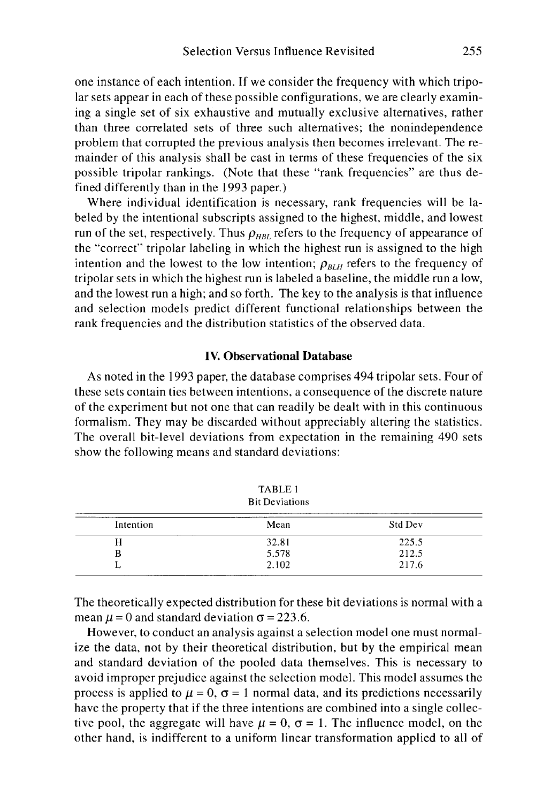one instance of each intention. If we consider the frequency with which tripolar sets appear in each of these possible configurations, we are clearly examining a single set of six exhaustive and mutually exclusive alternatives, rather than three correlated sets of three such alternatives; the nonindependence problem that corrupted the previous analysis then becomes irrelevant. The remainder of this analysis shall be cast in terms of these frequencies of the six possible tripolar rankings. (Note that these "rank frequencies" are thus defined differently than in the 1993 paper.)

Where individual identification is necessary, rank frequencies will be labeled by the intentional subscripts assigned to the highest, middle, and lowest run of the set, respectively. Thus  $\rho_{HBL}$  refers to the frequency of appearance of the "correct" tripolar labeling in which the highest run is assigned to the high intention and the lowest to the low intention;  $\rho_{BIH}$  refers to the frequency of tripolar sets in which the highest run is labeled a baseline, the middle run a low, and the lowest run a high; and so forth. The key to the analysis is that influence and selection models predict different functional relationships between the rank frequencies and the distribution statistics of the observed data.

#### **IV. Observational Database**

As noted in the 1993 paper, the database comprises 494 tripolar sets. Four of these sets contain ties between intentions, a consequence of the discrete nature of the experiment but not one that can readily be dealt with in this continuous formalism. They may be discarded without appreciably altering the statistics. The overall bit-level deviations from expectation in the remaining 490 sets show the following means and standard deviations:

| TABLE 1<br><b>Bit Deviations</b> |       |         |  |  |
|----------------------------------|-------|---------|--|--|
| Intention                        | Mean  | Std Dev |  |  |
| н                                | 32.81 | 225.5   |  |  |
| в                                | 5.578 | 212.5   |  |  |
|                                  | 2.102 | 217.6   |  |  |

The theoretically expected distribution for these bit deviations is normal with a mean  $\mu$  = 0 and standard deviation  $\sigma$  = 223.6.

However, to conduct an analysis against a selection model one must normalize the data, not by their theoretical distribution, but by the empirical mean and standard deviation of the pooled data themselves. This is necessary to avoid improper prejudice against the selection model. This model assumes the process is applied to  $\mu = 0$ ,  $\sigma = 1$  normal data, and its predictions necessarily have the property that if the three intentions are combined into a single collective pool, the aggregate will have  $\mu = 0$ ,  $\sigma = 1$ . The influence model, on the other hand, is indifferent to a uniform linear transformation applied to all of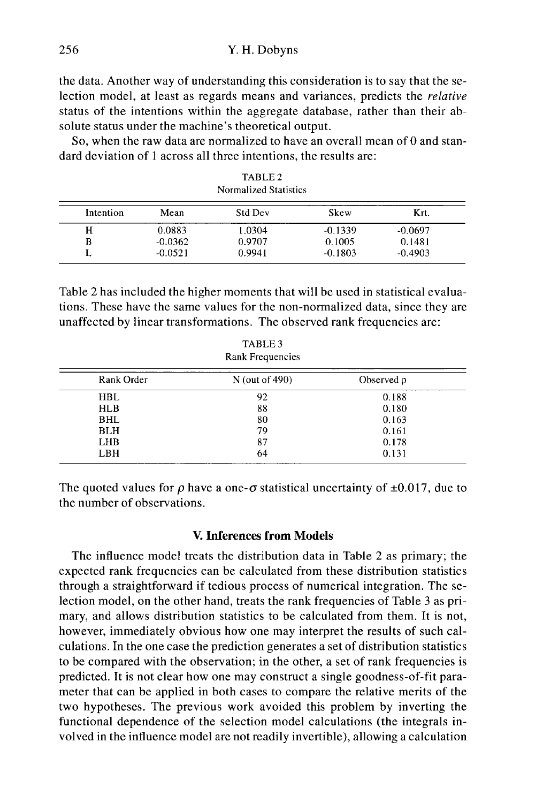the data. Another way of understanding this consideration is to say that the selection model, at least as regards means and variances, predicts the *relative* status of the intentions within the aggregate database, rather than their absolute status under the machine's theoretical output.

So, when the raw data are normalized to have an overall mean of 0 and standard deviation of 1 across all three intentions, the results are:

| Normalized Statistics |           |                |           |           |
|-----------------------|-----------|----------------|-----------|-----------|
| Intention             | Mean      | <b>Std Dev</b> | Skew      | Krt.      |
| н                     | 0.0883    | 1.0304         | $-0.1339$ | $-0.0697$ |
| в                     | $-0.0362$ | 0.9707         | 0.1005    | 0.1481    |
|                       | $-0.0521$ | 0.9941         | $-0.1803$ | $-0.4903$ |

TABLE 2

Table 2 has included the higher moments that will be used in statistical evaluations. These have the same values for the non-normalized data, since they are unaffected by linear transformations. The observed rank frequencies are:

| TABLE 3<br><b>Rank Frequencies</b> |                  |                 |  |  |
|------------------------------------|------------------|-----------------|--|--|
| Rank Order                         | $N$ (out of 490) | Observed $\rho$ |  |  |
| <b>HBL</b>                         | 92               | 0.188           |  |  |
| <b>HLB</b>                         | 88               | 0.180           |  |  |
| <b>BHL</b>                         | 80               | 0.163           |  |  |
| <b>BLH</b>                         | 79               | 0.161           |  |  |
| <b>LHB</b>                         | 87               | 0.178           |  |  |
| LBH                                | 64               | 0.131           |  |  |

The quoted values for  $\rho$  have a one- $\sigma$  statistical uncertainty of  $\pm 0.017$ , due to the number of observations.

#### **V. Inferences from Models**

The influence model treats the distribution data in Table 2 as primary; the expected rank frequencies can be calculated from these distribution statistics through a straightforward if tedious process of numerical integration. The selection model, on the other hand, treats the rank frequencies of Table 3 as primary, and allows distribution statistics to be calculated from them. It is not, however, immediately obvious how one may interpret the results of such calculations. In the one case the prediction generates a set of distribution statistics to be compared with the observation; in the other, a set of rank frequencies is predicted. It is not clear how one may construct a single goodness-of-fit parameter that can be applied in both cases to compare the relative merits of the two hypotheses. The previous work avoided this problem by inverting the functional dependence of the selection model calculations (the integrals involved in the influence model are not readily invertible), allowing a calculation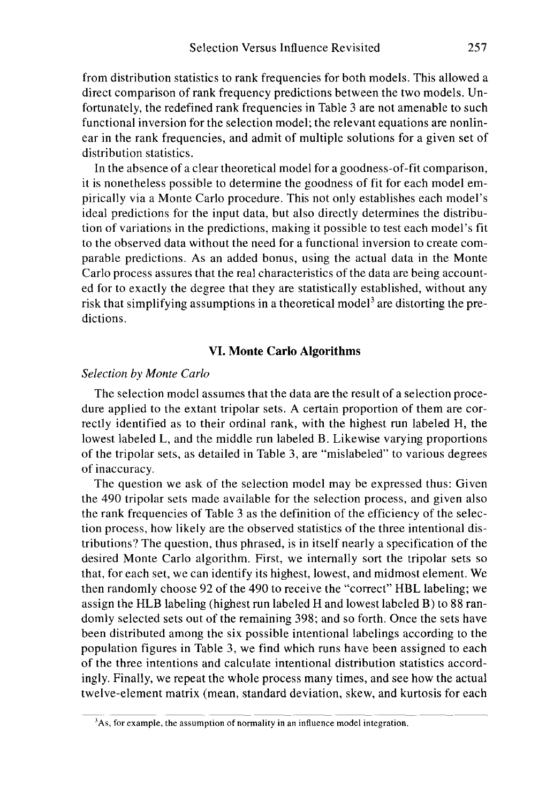from distribution statistics to rank frequencies for both models. This allowed a direct comparison of rank frequency predictions between the two models. Unfortunately, the redefined rank frequencies in Table 3 are not amenable to such functional inversion for the selection model; the relevant equations are nonlinear in the rank frequencies, and admit of multiple solutions for a given set of distribution statistics.

In the absence of a clear theoretical model for a goodness-of-fit comparison, it is nonetheless possible to determine the goodness of fit for each model empirically via a Monte Carlo procedure. This not only establishes each model's ideal predictions for the input data, but also directly determines the distribution of variations in the predictions, making it possible to test each model's fit to the observed data without the need for a functional inversion to create comparable predictions. As an added bonus, using the actual data in the Monte Carlo process assures that the real characteristics of the data are being accounted for to exactly the degree that they are statistically established, without any risk that simplifying assumptions in a theoretical model<sup>3</sup> are distorting the predictions.

#### **VI. Monte Carlo Algorithms**

#### *Selection by Monte Carlo*

The selection model assumes that the data are the result of a selection procedure applied to the extant tripolar sets. A certain proportion of them are correctly identified as to their ordinal rank, with the highest run labeled H, the lowest labeled L, and the middle run labeled B. Likewise varying proportions of the tripolar sets, as detailed in Table 3, are "mislabeled" to various degrees of inaccuracy.

The question we ask of the selection model may be expressed thus: Given the 490 tripolar sets made available for the selection process, and given also the rank frequencies of Table 3 as the definition of the efficiency of the selection process, how likely are the observed statistics of the three intentional distributions? The question, thus phrased, is in itself nearly a specification of the desired Monte Carlo algorithm. First, we internally sort the tripolar sets so that, for each set, we can identify its highest, lowest, and midmost element. We then randomly choose 92 of the 490 to receive the "correct" HBL labeling; we assign the HLB labeling (highest run labeled H and lowest labeled B) to 88 randomly selected sets out of the remaining 398; and so forth. Once the sets have been distributed among the six possible intentional labelings according to the population figures in Table 3, we find which runs have been assigned to each of the three intentions and calculate intentional distribution statistics accordingly. Finally, we repeat the whole process many times, and see how the actual twelve-element matrix (mean, standard deviation, skew, and kurtosis for each

 $3As$ , for example, the assumption of normality in an influence model integration.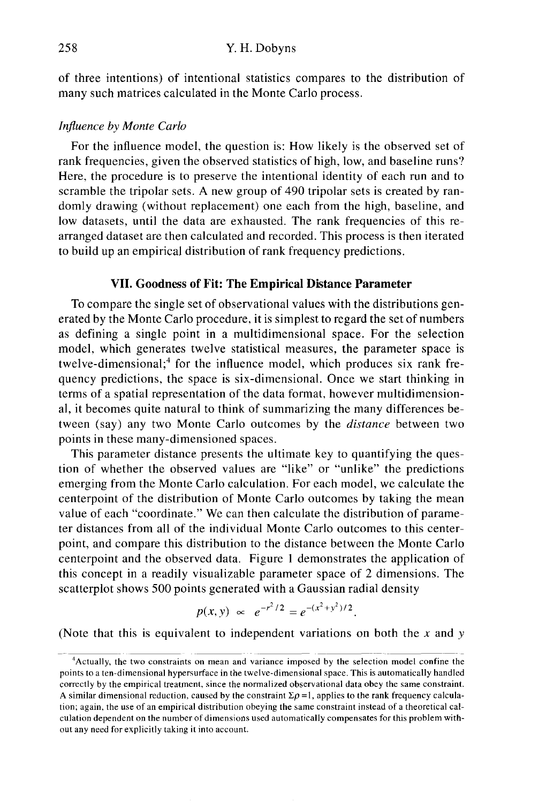of three intentions) of intentional statistics compares to the distribution of many such matrices calculated in the Monte Carlo process.

#### *Influence by Monte Carlo*

For the influence model, the question is: How likely is the observed set of rank frequencies, given the observed statistics of high, low, and baseline runs? Here, the procedure is to preserve the intentional identity of each run and to scramble the tripolar sets. A new group of 490 tripolar sets is created by randomly drawing (without replacement) one each from the high, baseline, and low datasets, until the data are exhausted. The rank frequencies of this rearranged dataset are then calculated and recorded. This process is then iterated to build up an empirical distribution of rank frequency predictions.

## **VII. Goodness of Fit: The Empirical Distance Parameter**

To compare the single set of observational values with the distributions generated by the Monte Carlo procedure, it is simplest to regard the set of numbers as defining a single point in a multidimensional space. For the selection model, which generates twelve statistical measures, the parameter space is twelve-dimensional;<sup>4</sup> for the influence model, which produces six rank frequency predictions, the space is six-dimensional. Once we start thinking in terms of a spatial representation of the data format, however multidimensional, it becomes quite natural to think of summarizing the many differences between (say) any two Monte Carlo outcomes by the *distance* between two points in these many-dimensioned spaces.

This parameter distance presents the ultimate key to quantifying the question of whether the observed values are "like" or "unlike" the predictions emerging from the Monte Carlo calculation. For each model, we calculate the centerpoint of the distribution of Monte Carlo outcomes by taking the mean value of each "coordinate." We can then calculate the distribution of parameter distances from all of the individual Monte Carlo outcomes to this centerpoint, and compare this distribution to the distance between the Monte Carlo centerpoint and the observed data. Figure 1 demonstrates the application of this concept in a readily visualizable parameter space of 2 dimensions. The scatterplot shows 500 points generated with a Gaussian radial density

$$
p(x, y) \propto e^{-r^2/2} = e^{-(x^2 + y^2)/2}.
$$

(Note that this is equivalent to independent variations on both the *x* and *y*

<sup>4</sup>Actually, the two constraints on mean and variance imposed by the selection model confine the points to a ten-dimensional hypersurface in the twelve-dimensional space. This is automatically handled correctly by the empirical treatment, since the normalized observational data obey the same constraint. A similar dimensional reduction, caused by the constraint  $\Sigma \rho = 1$ , applies to the rank frequency calculation; again, the use of an empirical distribution obeying the same constraint instead of a theoretical calculation dependent on the number of dimensions used automatically compensates for this problem without any need for explicitly taking it into account.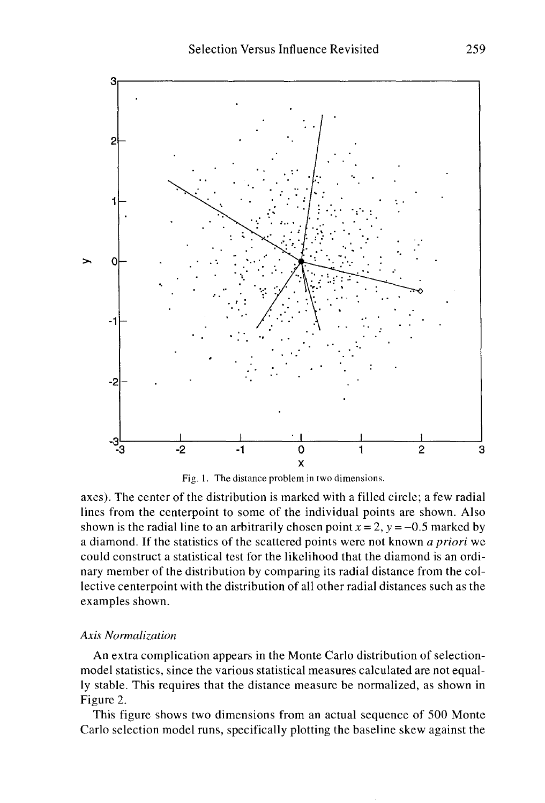

Fig. 1. The distance problem in two dimensions.

axes). The center of the distribution is marked with a filled circle; a few radial lines from the centerpoint to some of the individual points are shown. Also shown is the radial line to an arbitrarily chosen point  $x = 2$ ,  $y = -0.5$  marked by a diamond. If the statistics of the scattered points were not known *a priori* we could construct a statistical test for the likelihood that the diamond is an ordinary member of the distribution by comparing its radial distance from the collective centerpoint with the distribution of all other radial distances such as the examples shown.

#### *Axis Normalization*

An extra complication appears in the Monte Carlo distribution of selectionmodel statistics, since the various statistical measures calculated are not equally stable. This requires that the distance measure be normalized, as shown in Figure 2.

This figure shows two dimensions from an actual sequence of 500 Monte Carlo selection model runs, specifically plotting the baseline skew against the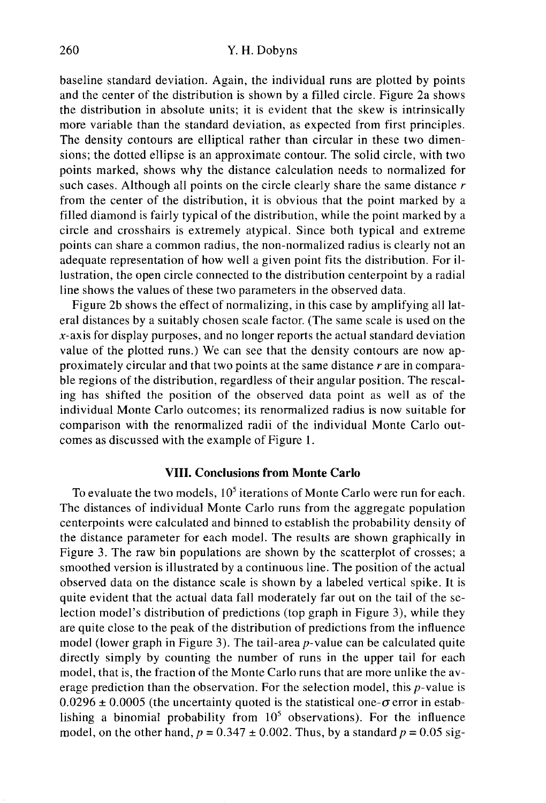baseline standard deviation. Again, the individual runs are plotted by points and the center of the distribution is shown by a filled circle. Figure 2a shows the distribution in absolute units; it is evident that the skew is intrinsically more variable than the standard deviation, as expected from first principles. The density contours are elliptical rather than circular in these two dimensions; the dotted ellipse is an approximate contour. The solid circle, with two points marked, shows why the distance calculation needs to normalized for such cases. Although all points on the circle clearly share the same distance *r* from the center of the distribution, it is obvious that the point marked by a filled diamond is fairly typical of the distribution, while the point marked by a circle and crosshairs is extremely atypical. Since both typical and extreme points can share a common radius, the non-normalized radius is clearly not an adequate representation of how well a given point fits the distribution. For illustration, the open circle connected to the distribution centerpoint by a radial line shows the values of these two parameters in the observed data.

Figure 2b shows the effect of normalizing, in this case by amplifying all lateral distances by a suitably chosen scale factor. (The same scale is used on the  $x$ -axis for display purposes, and no longer reports the actual standard deviation value of the plotted runs.) We can see that the density contours are now approximately circular and that two points at the same distance *r* are in comparable regions of the distribution, regardless of their angular position. The rescaling has shifted the position of the observed data point as well as of the individual Monte Carlo outcomes; its renormalized radius is now suitable for comparison with the renormalized radii of the individual Monte Carlo outcomes as discussed with the example of Figure 1.

## **VIII. Conclusions from Monte Carlo**

To evaluate the two models,  $10^5$  iterations of Monte Carlo were run for each. The distances of individual Monte Carlo runs from the aggregate population centerpoints were calculated and binned to establish the probability density of the distance parameter for each model. The results are shown graphically in Figure 3. The raw bin populations are shown by the scatterplot of crosses; a smoothed version is illustrated by a continuous line. The position of the actual observed data on the distance scale is shown by a labeled vertical spike. It is quite evident that the actual data fall moderately far out on the tail of the selection model's distribution of predictions (top graph in Figure 3), while they are quite close to the peak of the distribution of predictions from the influence model (lower graph in Figure 3). The tail-area  $p$ -value can be calculated quite directly simply by counting the number of runs in the upper tail for each model, that is, the fraction of the Monte Carlo runs that are more unlike the average prediction than the observation. For the selection model, this *p*-value is  $0.0296 \pm 0.0005$  (the uncertainty quoted is the statistical one- $\sigma$  error in establishing a binomial probability from  $10<sup>5</sup>$  observations). For the influence model, on the other hand,  $p = 0.347 \pm 0.002$ . Thus, by a standard  $p = 0.05$  sig-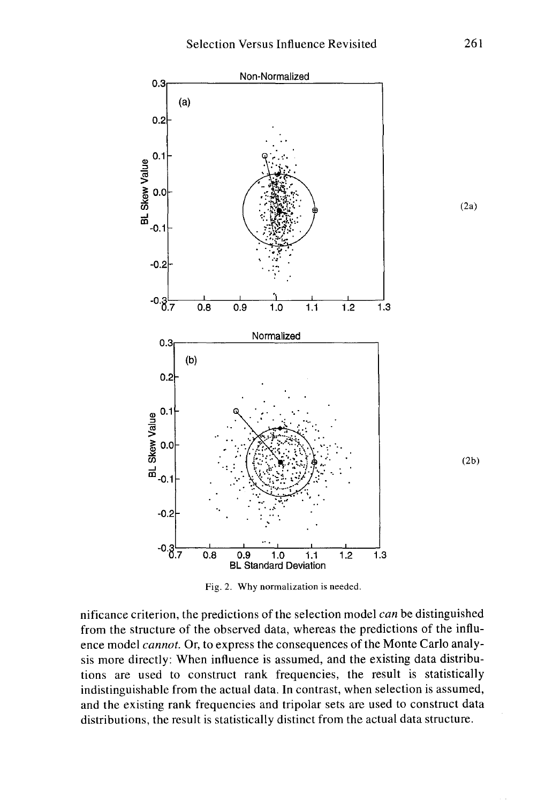

Fig. 2. Why normalization is needed.

nificance criterion, the predictions of the selection model *can* be distinguished from the structure of the observed data, whereas the predictions of the influence model *cannot.* Or, to express the consequences of the Monte Carlo analysis more directly: When influence is assumed, and the existing data distributions are used to construct rank frequencies, the result is statistically indistinguishable from the actual data. In contrast, when selection is assumed, and the existing rank frequencies and tripolar sets are used to construct data distributions, the result is statistically distinct from the actual data structure.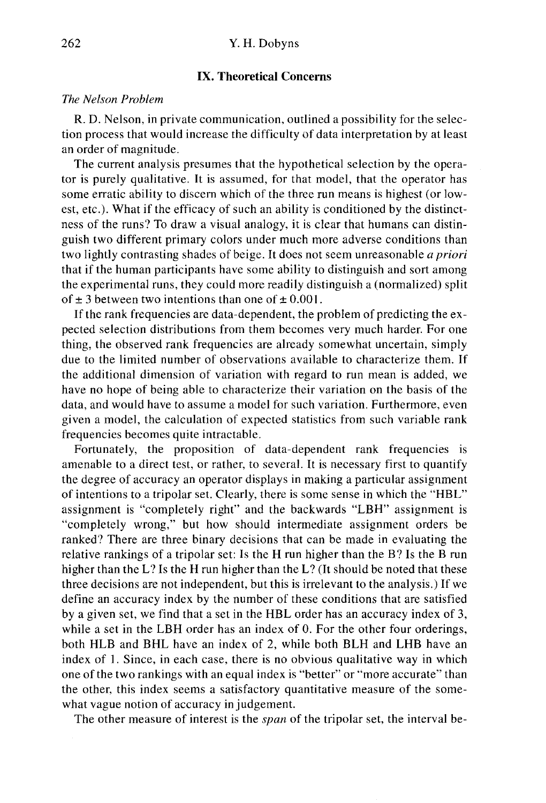### IX. Theoretical Concerns

## *The Nelson Problem*

R. D. Nelson, in private communication, outlined a possibility for the selection process that would increase the difficulty of data interpretation by at least an order of magnitude.

The current analysis presumes that the hypothetical selection by the operator is purely qualitative. It is assumed, for that model, that the operator has some erratic ability to discern which of the three run means is highest (or lowest, etc.). What if the efficacy of such an ability is conditioned by the distinctness of the runs? To draw a visual analogy, it is clear that humans can distinguish two different primary colors under much more adverse conditions than two lightly contrasting shades of beige. It does not seem unreasonable *a priori* that if the human participants have some ability to distinguish and sort among the experimental runs, they could more readily distinguish a (normalized) split of  $\pm$  3 between two intentions than one of  $\pm$  0.001.

If the rank frequencies are data-dependent, the problem of predicting the expected selection distributions from them becomes very much harder. For one thing, the observed rank frequencies are already somewhat uncertain, simply due to the limited number of observations available to characterize them. If the additional dimension of variation with regard to run mean is added, we have no hope of being able to characterize their variation on the basis of the data, and would have to assume a model for such variation. Furthermore, even given a model, the calculation of expected statistics from such variable rank frequencies becomes quite intractable.

Fortunately, the proposition of data-dependent rank frequencies is amenable to a direct test, or rather, to several. It is necessary first to quantify the degree of accuracy an operator displays in making a particular assignment of intentions to a tripolar set. Clearly, there is some sense in which the "HBL" assignment is "completely right" and the backwards "LBH" assignment is "completely wrong," but how should intermediate assignment orders be ranked? There are three binary decisions that can be made in evaluating the relative rankings of a tripolar set: Is the H run higher than the B? Is the B run higher than the L? Is the H run higher than the L? (It should be noted that these three decisions are not independent, but this is irrelevant to the analysis.) If we define an accuracy index by the number of these conditions that are satisfied by a given set, we find that a set in the HBL order has an accuracy index of 3, while a set in the LBH order has an index of 0. For the other four orderings, both HLB and BHL have an index of 2, while both BLH and LHB have an index of 1. Since, in each case, there is no obvious qualitative way in which one of the two rankings with an equal index is "better" or "more accurate" than the other, this index seems a satisfactory quantitative measure of the somewhat vague notion of accuracy in judgement.

The other measure of interest is the *span* of the tripolar set, the interval be-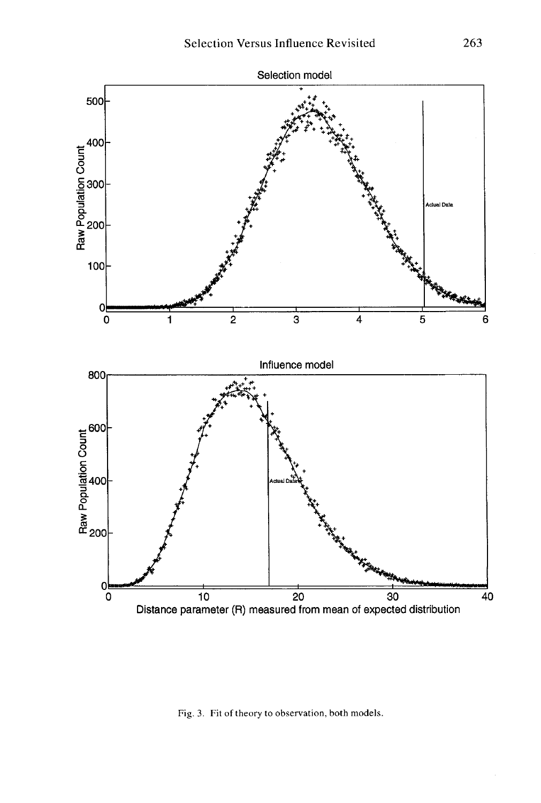

Fig. 3. Fit of theory to observation, both models.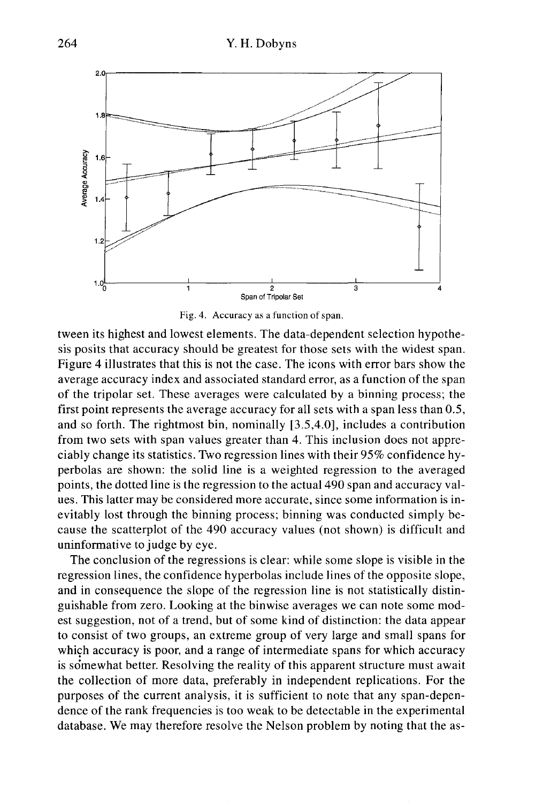

Fig. 4. Accuracy as a function of span.

tween its highest and lowest elements. The data-dependent selection hypothesis posits that accuracy should be greatest for those sets with the widest span. Figure 4 illustrates that this is not the case. The icons with error bars show the average accuracy index and associated standard error, as a function of the span of the tripolar set. These averages were calculated by a binning process; the first point represents the average accuracy for all sets with a span less than 0.5, and so forth. The rightmost bin, nominally [3.5,4.0], includes a contribution from two sets with span values greater than 4. This inclusion does not appreciably change its statistics. Two regression lines with their 95% confidence hyperbolas are shown: the solid line is a weighted regression to the averaged points, the dotted line is the regression to the actual 490 span and accuracy values. This latter may be considered more accurate, since some information is inevitably lost through the binning process; binning was conducted simply because the scatterplot of the 490 accuracy values (not shown) is difficult and uninformative to judge by eye.

The conclusion of the regressions is clear: while some slope is visible in the regression lines, the confidence hyperbolas include lines of the opposite slope, and in consequence the slope of the regression line is not statistically distinguishable from zero. Looking at the binwise averages we can note some modest suggestion, not of a trend, but of some kind of distinction: the data appear to consist of two groups, an extreme group of very large and small spans for which accuracy is poor, and a range of intermediate spans for which accuracy is somewhat better. Resolving the reality of this apparent structure must await the collection of more data, preferably in independent replications. For the purposes of the current analysis, it is sufficient to note that any span-dependence of the rank frequencies is too weak to be detectable in the experimental database. We may therefore resolve the Nelson problem by noting that the as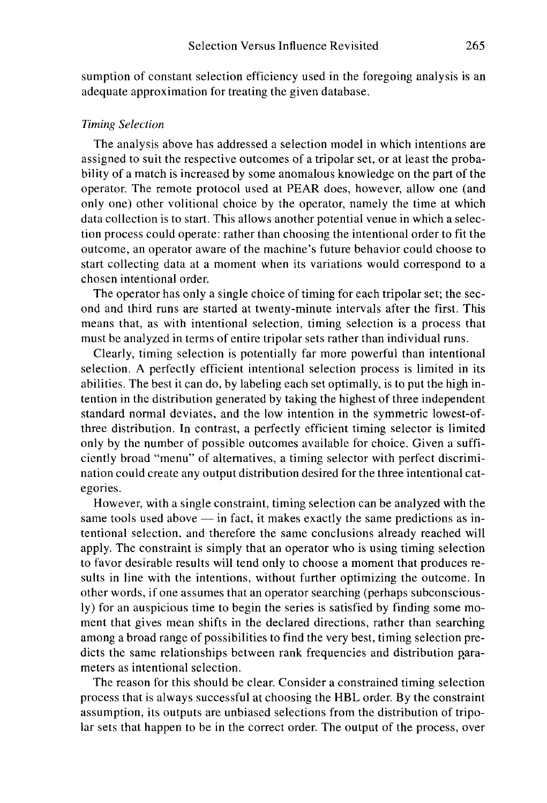sumption of constant selection efficiency used in the foregoing analysis is an adequate approximation for treating the given database.

## *Timing Selection*

The analysis above has addressed a selection model in which intentions are assigned to suit the respective outcomes of a tripolar set, or at least the probability of a match is increased by some anomalous knowledge on the part of the operator. The remote protocol used at PEAR does, however, allow one (and only one) other volitional choice by the operator, namely the time at which data collection is to start. This allows another potential venue in which a selection process could operate: rather than choosing the intentional order to fit the outcome, an operator aware of the machine's future behavior could choose to start collecting data at a moment when its variations would correspond to a chosen intentional order.

The operator has only a single choice of timing for each tripolar set; the second and third runs are started at twenty-minute intervals after the first. This means that, as with intentional selection, timing selection is a process that must be analyzed in terms of entire tripolar sets rather than individual runs.

Clearly, timing selection is potentially far more powerful than intentional selection. A perfectly efficient intentional selection process is limited in its abilities. The best it can do, by labeling each set optimally, is to put the high intention in the distribution generated by taking the highest of three independent standard normal deviates, and the low intention in the symmetric lowest-ofthree distribution. In contrast, a perfectly efficient timing selector is limited only by the number of possible outcomes available for choice. Given a sufficiently broad "menu" of alternatives, a timing selector with perfect discrimination could create any output distribution desired for the three intentional categories.

However, with a single constraint, timing selection can be analyzed with the same tools used above — in fact, it makes exactly the same predictions as intentional selection, and therefore the same conclusions already reached will apply. The constraint is simply that an operator who is using timing selection to favor desirable results will tend only to choose a moment that produces results in line with the intentions, without further optimizing the outcome. In other words, if one assumes that an operator searching (perhaps subconsciously) for an auspicious time to begin the series is satisfied by finding some moment that gives mean shifts in the declared directions, rather than searching among a broad range of possibilities to find the very best, timing selection predicts the same relationships between rank frequencies and distribution parameters as intentional selection.

The reason for this should be clear. Consider a constrained timing selection process that is always successful at choosing the HBL order. By the constraint assumption, its outputs are unbiased selections from the distribution of tripolar sets that happen to be in the correct order. The output of the process, over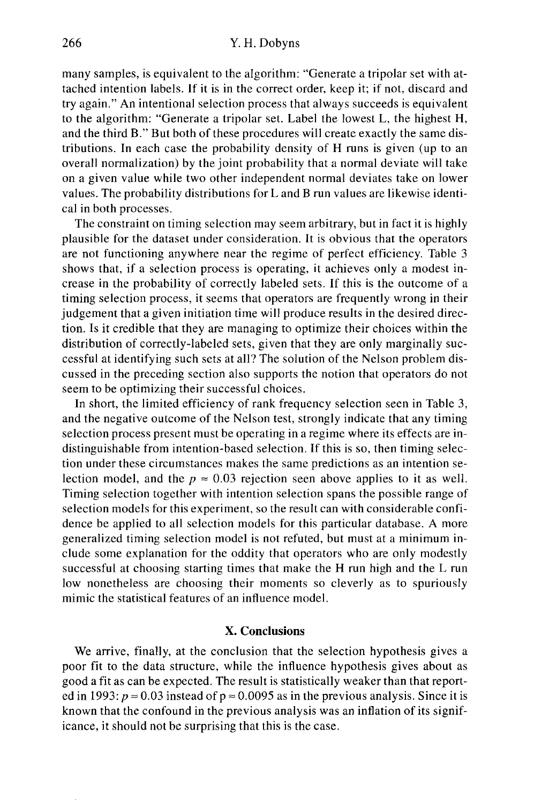many samples, is equivalent to the algorithm: "Generate a tripolar set with attached intention labels. If it is in the correct order, keep it; if not, discard and try again." An intentional selection process that always succeeds is equivalent to the algorithm: "Generate a tripolar set. Label the lowest L, the highest H, and the third B." But both of these procedures will create exactly the same distributions. In each case the probability density of H runs is given (up to an overall normalization) by the joint probability that a normal deviate will take on a given value while two other independent normal deviates take on lower values. The probability distributions for L and B run values are likewise identical in both processes.

The constraint on timing selection may seem arbitrary, but in fact it is highly plausible for the dataset under consideration. It is obvious that the operators are not functioning anywhere near the regime of perfect efficiency. Table 3 shows that, if a selection process is operating, it achieves only a modest increase in the probability of correctly labeled sets. If this is the outcome of a timing selection process, it seems that operators are frequently wrong in their judgement that a given initiation time will produce results in the desired direction. Is it credible that they are managing to optimize their choices within the distribution of correctly-labeled sets, given that they are only marginally successful at identifying such sets at all? The solution of the Nelson problem discussed in the preceding section also supports the notion that operators do not seem to be optimizing their successful choices.

In short, the limited efficiency of rank frequency selection seen in Table 3, and the negative outcome of the Nelson test, strongly indicate that any timing selection process present must be operating in a regime where its effects are indistinguishable from intention-based selection. If this is so, then timing selection under these circumstances makes the same predictions as an intention selection model, and the  $p \approx 0.03$  rejection seen above applies to it as well. Timing selection together with intention selection spans the possible range of selection models for this experiment, so the result can with considerable confidence be applied to all selection models for this particular database. A more generalized timing selection model is not refuted, but must at a minimum include some explanation for the oddity that operators who are only modestly successful at choosing starting times that make the H run high and the L run low nonetheless are choosing their moments so cleverly as to spuriously mimic the statistical features of an influence model.

## **X. Conclusions**

We arrive, finally, at the conclusion that the selection hypothesis gives a poor fit to the data structure, while the influence hypothesis gives about as good a fit as can be expected. The result is statistically weaker than that reported in 1993:  $p \approx 0.03$  instead of  $p \approx 0.0095$  as in the previous analysis. Since it is known that the confound in the previous analysis was an inflation of its significance, it should not be surprising that this is the case.